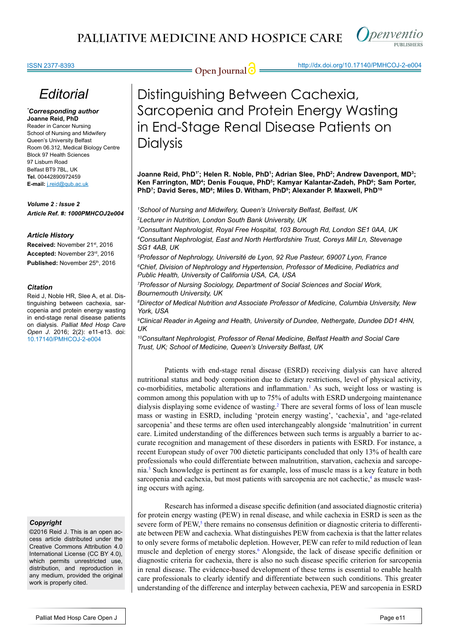

#### ISSN 2377-8393

## **Open Journal @** http://dx.doi.org/10.17140/PMHCOJ-2-e004

# *Editorial*

#### *\* Corresponding author* **Joanne Reid, PhD**

Reader in Cancer Nursing School of Nursing and Midwifery Queen's University Belfast Room 06.312, Medical Biology Centre Block 97 Health Sciences 97 Lisburn Road Belfast BT9 7BL, UK **Tel.** 00442890972459 **E-mail:** j.reid@qub.ac.uk

#### *Volume 2 : Issue 2 Article Ref. #: 1000PMHCOJ2e004*

#### *Article History*

**Received:** November 21st, 2016 **Accepted:** November 23rd, 2016 Published: November 25<sup>th</sup>, 2016

#### *Citation*

Reid J, Noble HR, Slee A, et al. Distinguishing between cachexia, sarcopenia and protein energy wasting in end-stage renal disease patients on dialysis. *Palliat Med Hosp Care Open J*. 2016; 2(2): e11-e13. doi: [10.17140/PMHCOJ-2-e004](http://openventio.org/Volume2_Issue1/Palliative_Nutritional_Care_for_Cancer_Patients_PMHCOJ_2_e002.pdf)

#### *Copyright*

©2016 Reid J. This is an open access article distributed under the Creative Commons Attribution 4.0 International License (CC BY 4.0), which permits unrestricted use, distribution, and reproduction in any medium, provided the original work is properly cited.

# Distinguishing Between Cachexia, Sarcopenia and Protein Energy Wasting in End-Stage Renal Disease Patients on **Dialysis**

Joanne Reid, PhD''; Helen R. Noble, PhD<sup>1</sup>; Adrian Slee, PhD<sup>2</sup>; Andrew Davenport, MD<sup>3</sup>; **Ken Farrington, MD4 ; Denis Fouque, PhD5 ; Kamyar Kalantar-Zadeh, PhD6 ; Sam Porter,**  PhD<sup>7</sup>; David Seres, MD<sup>8</sup>; Miles D. Witham, PhD<sup>9</sup>; Alexander P. Maxwell, PhD<sup>10</sup>

*1 School of Nursing and Midwifery, Queen's University Belfast, Belfast, UK 2 Lecturer in Nutrition, London South Bank University, UK*

*3 Consultant Nephrologist, Royal Free Hospital, 103 Borough Rd, London SE1 0AA, UK 4 Consultant Nephrologist, East and North Hertfordshire Trust, Coreys Mill Ln, Stevenage SG1 4AB, UK*

*5 Professor of Nephrology, Université de Lyon, 92 Rue Pasteur, 69007 Lyon, France 6 Chief, Division of Nephrology and Hypertension, Professor of Medicine, Pediatrics and Public Health, University of California USA, CA, USA*

*7 Professor of Nursing Sociology, Department of Social Sciences and Social Work, Bournemouth University, UK*

*8 Director of Medical Nutrition and Associate Professor of Medicine, Columbia University, New York, USA*

*9 Clinical Reader in Ageing and Health, University of Dundee, Nethergate, Dundee DD1 4HN, UK* 

*10Consultant Nephrologist, Professor of Renal Medicine, Belfast Health and Social Care Trust, UK; School of Medicine, Queen's University Belfast, UK*

Patients with end-stage renal disease (ESRD) receiving dialysis can have altered nutritional status and body composition due to dietary restrictions, level of physical activity, co-morbidities, metabolic alterations and inflammation.<sup>[1](#page-2-0)</sup> As such, weight loss or wasting is common among this population with up to 75% of adults with ESRD undergoing maintenance dialysis displaying some evidence of wasting.<sup>[2](#page-2-1)</sup> There are several forms of loss of lean muscle mass or wasting in ESRD, including 'protein energy wasting', 'cachexia', and 'age-related sarcopenia' and these terms are often used interchangeably alongside 'malnutrition' in current care. Limited understanding of the differences between such terms is arguably a barrier to accurate recognition and management of these disorders in patients with ESRD. For instance, a recent European study of over 700 dietetic participants concluded that only 13% of health care professionals who could differentiate between malnutrition, starvation, cachexia and sarcopenia.[3](#page-2-2) Such knowledge is pertinent as for example, loss of muscle mass is a key feature in both sarcopenia and cachexia, but most patients with sarcopenia are not cachectic,<sup>[4](#page-2-3)</sup> as muscle wasting occurs with aging.

Research has informed a disease specific definition (and associated diagnostic criteria) for protein energy wasting (PEW) in renal disease, and while cachexia in ESRD is seen as the severe form of  $PEW<sub>5</sub>$  $PEW<sub>5</sub>$  $PEW<sub>5</sub>$  there remains no consensus definition or diagnostic criteria to differentiate between PEW and cachexia. What distinguishes PEW from cachexia is that the latter relates to only severe forms of metabolic depletion. However, PEW can refer to mild reduction of lean muscle and depletion of energy stores.<sup>[6](#page-2-5)</sup> Alongside, the lack of disease specific definition or diagnostic criteria for cachexia, there is also no such disease specific criterion for sarcopenia in renal disease. The evidence-based development of these terms is essential to enable health care professionals to clearly identify and differentiate between such conditions. This greater understanding of the difference and interplay between cachexia, PEW and sarcopenia in ESRD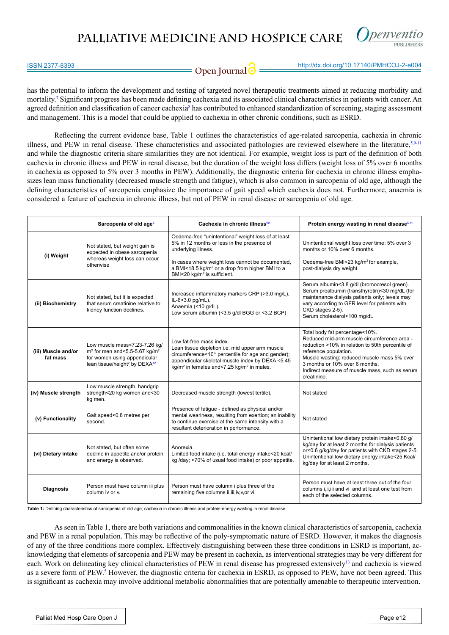### **PALLIATIVE MEDICINE AND HOSPICE CARE**



### **Open Journal @** http://dx.doi.org/10.17140/PMHCOJ-2-e004

has the potential to inform the development and testing of targeted novel therapeutic treatments aimed at reducing morbidity and mortality.<sup>[7](#page-2-9)</sup> Significant progress has been made defining cachexia and its associated clinical characteristics in patients with cancer. An agreed definition and classification of cancer cachexia<sup>[8](#page-2-10)</sup> has contributed to enhanced standardization of screening, staging assessment and management. This is a model that could be applied to cachexia in other chronic conditions, such as ESRD.

Reflecting the current evidence base, Table 1 outlines the characteristics of age-related sarcopenia, cachexia in chronic illness, and PEW in renal disease. These characteristics and associated pathologies are reviewed elsewhere in the literature, [5](#page-2-4),[9-11](#page-2-6) and while the diagnostic criteria share similarities they are not identical. For example, weight loss is part of the definition of both cachexia in chronic illness and PEW in renal disease, but the duration of the weight loss differs (weight loss of 5% over 6 months in cachexia as opposed to 5% over 3 months in PEW). Additionally, the diagnostic criteria for cachexia in chronic illness emphasizes lean mass functionality (decreased muscle strength and fatigue), which is also common in sarcopenia of old age, although the defining characteristics of sarcopenia emphasize the importance of gait speed which cachexia does not. Furthermore, anaemia is considered a feature of cachexia in chronic illness, but not of PEW in renal disease or sarcopenia of old age.

|                                 | Sarcopenia of old age <sup>9</sup>                                                                                                                                      | Cachexia in chronic illness <sup>10</sup>                                                                                                                                                                                                                              | Protein energy wasting in renal disease <sup>5,11</sup>                                                                                                                                                                                                                                                      |
|---------------------------------|-------------------------------------------------------------------------------------------------------------------------------------------------------------------------|------------------------------------------------------------------------------------------------------------------------------------------------------------------------------------------------------------------------------------------------------------------------|--------------------------------------------------------------------------------------------------------------------------------------------------------------------------------------------------------------------------------------------------------------------------------------------------------------|
| (i) Weight                      | Not stated, but weight gain is<br>expected in obese sarcopenia<br>whereas weight loss can occur<br>otherwise                                                            | Oedema-free "unintentional" weight loss of at least<br>5% in 12 months or less in the presence of<br>underlying illness.                                                                                                                                               | Unintentional weight loss over time: 5% over 3<br>months or 10% over 6 months.                                                                                                                                                                                                                               |
|                                 |                                                                                                                                                                         | In cases where weight loss cannot be documented,<br>a BMI<18.5 kg/m <sup>2</sup> or a drop from higher BMI to a<br>BMI<20 kg/m <sup>2</sup> is sufficient.                                                                                                             | Oedema-free BMI<23 kg/m <sup>2</sup> for example,<br>post-dialysis dry weight.                                                                                                                                                                                                                               |
| (ii) Biochemistry               | Not stated, but it is expected<br>that serum creatinine relative to<br>kidney function declines.                                                                        | Increased inflammatory markers CRP (>3.0 mg/L),<br>IL-6>3.0 pg/mL).<br>Anaemia (<10 g/dL).<br>Low serum albumin (<3.5 g/dl BGG or <3.2 BCP)                                                                                                                            | Serum albumin<3.8 g/dl (bromocresol green).<br>Serum prealbumin (transthyretin)<30 mq/dL (for<br>maintenance dialysis patients only; levels may<br>vary according to GFR level for patients with<br>CKD stages 2-5).<br>Serum cholesterol<100 mg/dL                                                          |
| (iii) Muscle and/or<br>fat mass | Low muscle mass<7.23-7.26 kg/<br>$m2$ for men and < 5.5-5.67 kg/m <sup>2</sup><br>for women using appendicular<br>lean tissue/height <sup>2</sup> by DEXA <sup>12</sup> | Low fat-free mass index.<br>Lean tissue depletion i.e. mid upper arm muscle<br>circumference<10 <sup>th</sup> percentile for age and gender);<br>appendicular skeletal muscle index by DEXA <5.45<br>kg/m <sup>2</sup> in females and<7.25 kg/m <sup>2</sup> in males. | Total body fat percentage<10%.<br>Reduced mid-arm muscle circumference area -<br>reduction >10% in relation to 50th percentile of<br>reference population.<br>Muscle wasting: reduced muscle mass 5% over<br>3 months or 10% over 6 months.<br>Indirect measure of muscle mass, such as serum<br>creatinine. |
| (iv) Muscle strength            | Low muscle strength, handgrip<br>strength<20 kg women and<30<br>kg men.                                                                                                 | Decreased muscle strength (lowest tertile).                                                                                                                                                                                                                            | Not stated                                                                                                                                                                                                                                                                                                   |
| (v) Functionality               | Gait speed<0.8 metres per<br>second.                                                                                                                                    | Presence of fatigue - defined as physical and/or<br>mental weariness, resulting from exertion; an inability<br>to continue exercise at the same intensity with a<br>resultant deterioration in performance.                                                            | Not stated                                                                                                                                                                                                                                                                                                   |
| (vi) Dietary intake             | Not stated, but often some<br>decline in appetite and/or protein<br>and energy is observed.                                                                             | Anorexia.<br>Limited food intake (i.e. total energy intake<20 kcal/<br>kg /day; <70% of usual food intake) or poor appetite.                                                                                                                                           | Unintentional low dietary protein intake<0.80 g/<br>kg/day for at least 2 months for dialysis patients<br>or<0.6 g/kg/day for patients with CKD stages 2-5.<br>Unintentional low dietary energy intake<25 Kcal/<br>kg/day for at least 2 months.                                                             |
| <b>Diagnosis</b>                | Person must have column iii plus<br>column iv or v.                                                                                                                     | Person must have column i plus three of the<br>remaining five columns ii, iii, iv, v, or vi.                                                                                                                                                                           | Person must have at least three out of the four<br>columns i, ii, iii and vi and at least one test from<br>each of the selected columns.                                                                                                                                                                     |

**Table 1:** Defining characteristics of sarcopenia of old age, cachexia in chronic illness and protein-energy wasting in renal disease.

As seen in Table 1, there are both variations and commonalities in the known clinical characteristics of sarcopenia, cachexia and PEW in a renal population. This may be reflective of the poly-symptomatic nature of ESRD. However, it makes the diagnosis of any of the three conditions more complex. Effectively distinguishing between these three conditions in ESRD is important, acknowledging that elements of sarcopenia and PEW may be present in cachexia, as interventional strategies may be very different for each. Work on delineating key clinical characteristics of PEW in renal disease has progressed extensively[13](#page-2-11) and cachexia is viewed as a severe form of PEW.<sup>[5](#page-2-4)</sup> However, the diagnostic criteria for cachexia in ESRD, as opposed to PEW, have not been agreed. This is significant as cachexia may involve additional metabolic abnormalities that are potentially amenable to therapeutic intervention.